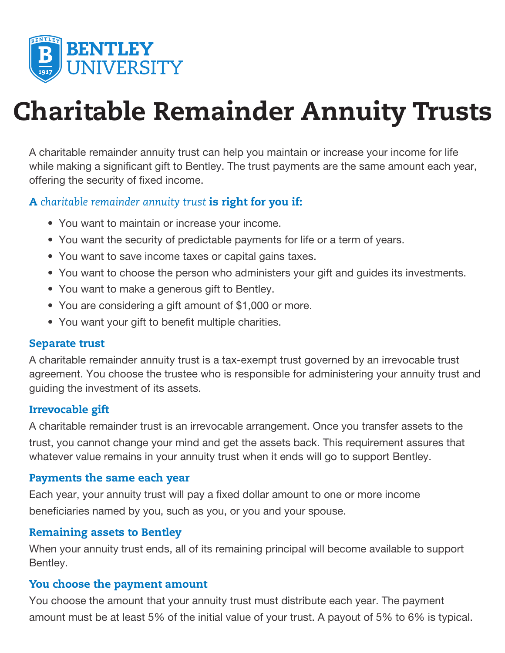

# Charitable Remainder Annuity Trusts

A charitable remainder annuity trust can help you maintain or increase your income for life while making a significant gift to Bentley. The trust payments are the same amount each year, offering the security of fixed income.

# A *charitable remainder annuity trust* is right for you if:

- You want to maintain or increase your income.
- You want the security of predictable payments for life or a term of years.
- You want to save income taxes or capital gains taxes.
- You want to choose the person who administers your gift and guides its investments.
- You want to make a generous gift to Bentley.
- You are considering a gift amount of \$1,000 or more.
- You want your gift to benefit multiple charities.

#### Separate trust

A charitable remainder annuity trust is a tax-exempt trust governed by an irrevocable trust agreement. You choose the trustee who is responsible for administering your annuity trust and guiding the investment of its assets.

# Irrevocable gift

A charitable remainder trust is an irrevocable arrangement. Once you transfer assets to the trust, you cannot change your mind and get the assets back. This requirement assures that whatever value remains in your annuity trust when it ends will go to support Bentley.

# Payments the same each year

Each year, your annuity trust will pay a fixed dollar amount to one or more income beneficiaries named by you, such as you, or you and your spouse.

# Remaining assets to Bentley

When your annuity trust ends, all of its remaining principal will become available to support Bentley.

#### You choose the payment amount

You choose the amount that your annuity trust must distribute each year. The payment amount must be at least 5% of the initial value of your trust. A payout of 5% to 6% is typical.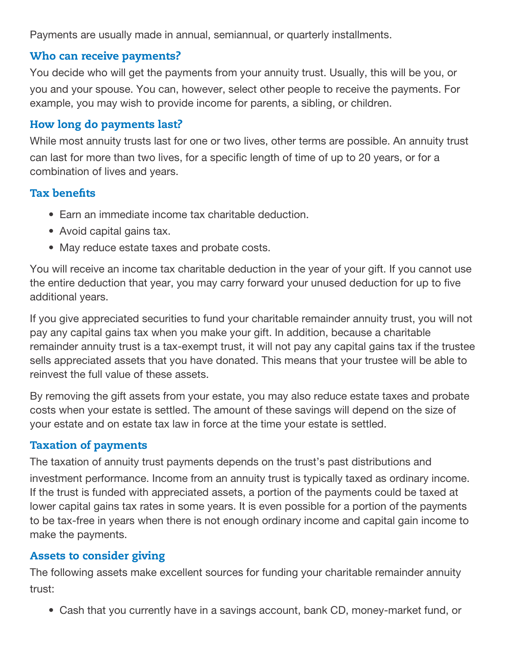Payments are usually made in annual, semiannual, or quarterly installments.

#### Who can receive payments?

You decide who will get the payments from your annuity trust. Usually, this will be you, or you and your spouse. You can, however, select other people to receive the payments. For example, you may wish to provide income for parents, a sibling, or children.

#### How long do payments last?

While most annuity trusts last for one or two lives, other terms are possible. An annuity trust can last for more than two lives, for a specific length of time of up to 20 years, or for a combination of lives and years.

#### Tax benefits

- Earn an immediate income tax charitable deduction.
- Avoid capital gains tax.
- May reduce estate taxes and probate costs.

You will receive an income tax charitable deduction in the year of your gift. If you cannot use the entire deduction that year, you may carry forward your unused deduction for up to five additional years.

If you give appreciated securities to fund your charitable remainder annuity trust, you will not pay any capital gains tax when you make your gift. In addition, because a charitable remainder annuity trust is a tax-exempt trust, it will not pay any capital gains tax if the trustee sells appreciated assets that you have donated. This means that your trustee will be able to reinvest the full value of these assets.

By removing the gift assets from your estate, you may also reduce estate taxes and probate costs when your estate is settled. The amount of these savings will depend on the size of your estate and on estate tax law in force at the time your estate is settled.

#### Taxation of payments

The taxation of annuity trust payments depends on the trust's past distributions and investment performance. Income from an annuity trust is typically taxed as ordinary income. If the trust is funded with appreciated assets, a portion of the payments could be taxed at lower capital gains tax rates in some years. It is even possible for a portion of the payments to be tax-free in years when there is not enough ordinary income and capital gain income to make the payments.

# Assets to consider giving

The following assets make excellent sources for funding your charitable remainder annuity trust:

• Cash that you currently have in a savings account, bank CD, money-market fund, or